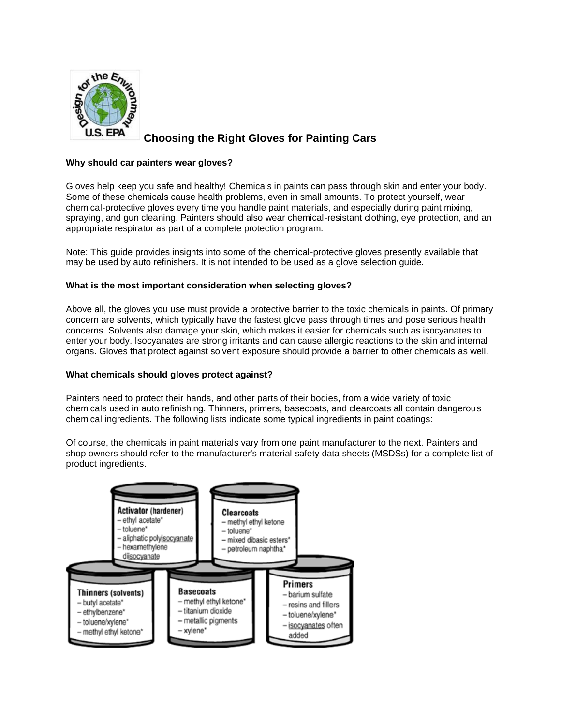

# **Choosing the Right Gloves for Painting Cars**

## **Why should car painters wear gloves?**

Gloves help keep you safe and healthy! Chemicals in paints can pass through skin and enter your body. Some of these chemicals cause health problems, even in small amounts. To protect yourself, wear chemical-protective gloves every time you handle paint materials, and especially during paint mixing, spraying, and gun cleaning. Painters should also wear chemical-resistant clothing, eye protection, and an appropriate respirator as part of a complete protection program.

Note: This guide provides insights into some of the chemical-protective gloves presently available that may be used by auto refinishers. It is not intended to be used as a glove selection guide.

## **What is the most important consideration when selecting gloves?**

Above all, the gloves you use must provide a protective barrier to the toxic chemicals in paints. Of primary concern are solvents, which typically have the fastest glove pass through times and pose serious health concerns. Solvents also damage your skin, which makes it easier for chemicals such as isocyanates to enter your body. Isocyanates are strong irritants and can cause allergic reactions to the skin and internal organs. Gloves that protect against solvent exposure should provide a barrier to other chemicals as well.

### **What chemicals should gloves protect against?**

Painters need to protect their hands, and other parts of their bodies, from a wide variety of toxic chemicals used in auto refinishing. Thinners, primers, basecoats, and clearcoats all contain dangerous chemical ingredients. The following lists indicate some typical ingredients in paint coatings:

Of course, the chemicals in paint materials vary from one paint manufacturer to the next. Painters and shop owners should refer to the manufacturer's material safety data sheets (MSDSs) for a complete list of product ingredients.

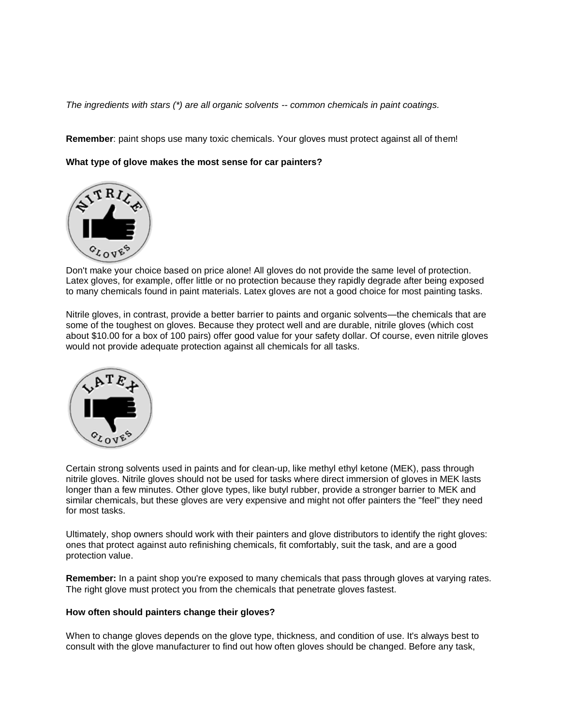*The ingredients with stars (\*) are all organic solvents -- common chemicals in paint coatings.*

**Remember**: paint shops use many toxic chemicals. Your gloves must protect against all of them!

**What type of glove makes the most sense for car painters?** 



Don't make your choice based on price alone! All gloves do not provide the same level of protection. Latex gloves, for example, offer little or no protection because they rapidly degrade after being exposed to many chemicals found in paint materials. Latex gloves are not a good choice for most painting tasks.

Nitrile gloves, in contrast, provide a better barrier to paints and organic solvents—the chemicals that are some of the toughest on gloves. Because they protect well and are durable, nitrile gloves (which cost about \$10.00 for a box of 100 pairs) offer good value for your safety dollar. Of course, even nitrile gloves would not provide adequate protection against all chemicals for all tasks.



Certain strong solvents used in paints and for clean-up, like methyl ethyl ketone (MEK), pass through nitrile gloves. Nitrile gloves should not be used for tasks where direct immersion of gloves in MEK lasts longer than a few minutes. Other glove types, like butyl rubber, provide a stronger barrier to MEK and similar chemicals, but these gloves are very expensive and might not offer painters the "feel" they need for most tasks.

Ultimately, shop owners should work with their painters and glove distributors to identify the right gloves: ones that protect against auto refinishing chemicals, fit comfortably, suit the task, and are a good protection value.

**Remember:** In a paint shop you're exposed to many chemicals that pass through gloves at varying rates. The right glove must protect you from the chemicals that penetrate gloves fastest.

### **How often should painters change their gloves?**

When to change gloves depends on the glove type, thickness, and condition of use. It's always best to consult with the glove manufacturer to find out how often gloves should be changed. Before any task,